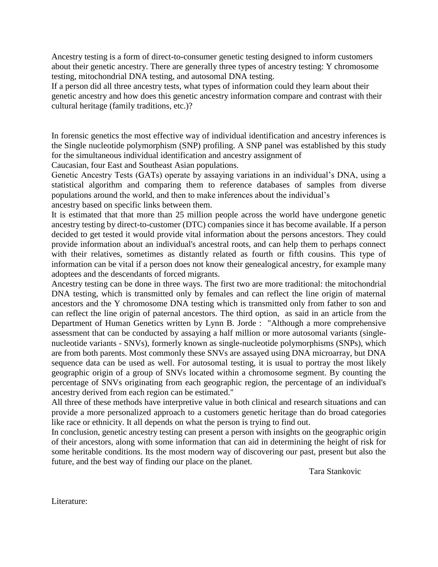Ancestry testing is a form of direct-to-consumer genetic testing designed to inform customers about their genetic ancestry. There are generally three types of ancestry testing: Y chromosome testing, mitochondrial DNA testing, and autosomal DNA testing.

If a person did all three ancestry tests, what types of information could they learn about their genetic ancestry and how does this genetic ancestry information compare and contrast with their cultural heritage (family traditions, etc.)?

In forensic genetics the most effective way of individual identification and ancestry inferences is the Single nucleotide polymorphism (SNP) profiling. A SNP panel was established by this study for the simultaneous individual identification and ancestry assignment of

Caucasian, four East and Southeast Asian populations.

Genetic Ancestry Tests (GATs) operate by assaying variations in an individual's DNA, using a statistical algorithm and comparing them to reference databases of samples from diverse populations around the world, and then to make inferences about the individual's

ancestry based on specific links between them.

It is estimated that that more than 25 million people across the world have undergone genetic ancestry testing by direct-to-customer (DTC) companies since it has become available. If a person decided to get tested it would provide vital information about the persons ancestors. They could provide information about an individual's ancestral roots, and can help them to perhaps connect with their relatives, sometimes as distantly related as fourth or fifth cousins. This type of information can be vital if a person does not know their genealogical ancestry, for example many adoptees and the descendants of forced migrants.

Ancestry testing can be done in three ways. The first two are more traditional: the mitochondrial DNA testing, which is transmitted only by females and can reflect the line origin of maternal ancestors and the Y chromosome DNA testing which is transmitted only from father to son and can reflect the line origin of paternal ancestors. The third option, as said in an article from the Department of Human Genetics written by Lynn B. Jorde : "Although a more comprehensive assessment that can be conducted by assaying a half million or more autosomal variants (singlenucleotide variants - SNVs), formerly known as single-nucleotide polymorphisms (SNPs), which are from both parents. Most commonly these SNVs are assayed using DNA microarray, but DNA sequence data can be used as well. For autosomal testing, it is usual to portray the most likely geographic origin of a group of SNVs located within a chromosome segment. By counting the percentage of SNVs originating from each geographic region, the percentage of an individual's ancestry derived from each region can be estimated."

All three of these methods have interpretive value in both clinical and research situations and can provide a more personalized approach to a customers genetic heritage than do broad categories like race or ethnicity. It all depends on what the person is trying to find out.

In conclusion, genetic ancestry testing can present a person with insights on the geographic origin of their ancestors, along with some information that can aid in determining the height of risk for some heritable conditions. Its the most modern way of discovering our past, present but also the future, and the best way of finding our place on the planet.

Tara Stankovic

Literature: